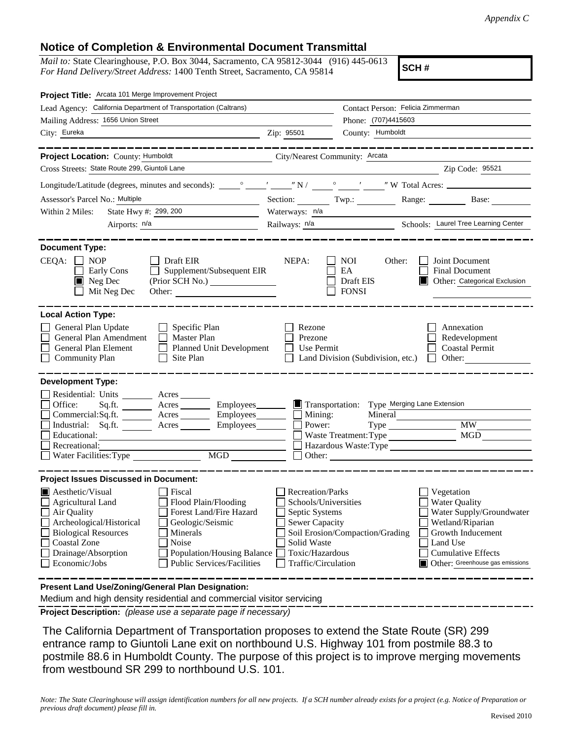## **Notice of Completion & Environmental Document Transmittal**

*Mail to:* State Clearinghouse, P.O. Box 3044, Sacramento, CA 95812-3044 (916) 445-0613 *For Hand Delivery/Street Address:* 1400 Tenth Street, Sacramento, CA 95814

**SCH #**

| Project Title: Arcata 101 Merge Improvement Project                                                                                                                                                                                                                                                                                                                           |                                                                                                                                              |                                                  |                                                                                                                                                                                     |  |
|-------------------------------------------------------------------------------------------------------------------------------------------------------------------------------------------------------------------------------------------------------------------------------------------------------------------------------------------------------------------------------|----------------------------------------------------------------------------------------------------------------------------------------------|--------------------------------------------------|-------------------------------------------------------------------------------------------------------------------------------------------------------------------------------------|--|
| Lead Agency: California Department of Transportation (Caltrans)                                                                                                                                                                                                                                                                                                               |                                                                                                                                              | Contact Person: Felicia Zimmerman                |                                                                                                                                                                                     |  |
| Mailing Address: 1656 Union Street                                                                                                                                                                                                                                                                                                                                            |                                                                                                                                              | Phone: (707)4415603                              |                                                                                                                                                                                     |  |
| City: Eureka                                                                                                                                                                                                                                                                                                                                                                  | Zip: 95501                                                                                                                                   | County: Humboldt                                 |                                                                                                                                                                                     |  |
|                                                                                                                                                                                                                                                                                                                                                                               |                                                                                                                                              |                                                  |                                                                                                                                                                                     |  |
| Project Location: County: Humboldt                                                                                                                                                                                                                                                                                                                                            | City/Nearest Community: Arcata                                                                                                               |                                                  |                                                                                                                                                                                     |  |
| Cross Streets: State Route 299, Giuntoli Lane                                                                                                                                                                                                                                                                                                                                 |                                                                                                                                              |                                                  | Zip Code: 95521                                                                                                                                                                     |  |
|                                                                                                                                                                                                                                                                                                                                                                               |                                                                                                                                              |                                                  |                                                                                                                                                                                     |  |
| Assessor's Parcel No.: Multiple<br><u> 1980 - Johann Barn, fransk politik (</u>                                                                                                                                                                                                                                                                                               | Section: Twp.:                                                                                                                               |                                                  | Range: Base:                                                                                                                                                                        |  |
| State Hwy #: 299, 200<br>Within 2 Miles:                                                                                                                                                                                                                                                                                                                                      | Waterways: $n/a$                                                                                                                             |                                                  |                                                                                                                                                                                     |  |
| Airports: $n/a$                                                                                                                                                                                                                                                                                                                                                               |                                                                                                                                              |                                                  | Railways: n/a<br>Schools: Laurel Tree Learning Center                                                                                                                               |  |
| <b>Document Type:</b><br>CEQA:<br>$\Box$ Draft EIR<br>NOP<br>$\Box$<br>Supplement/Subsequent EIR<br>Early Cons<br>$\blacksquare$ Neg Dec<br>Mit Neg Dec                                                                                                                                                                                                                       | NEPA:                                                                                                                                        | NOI<br>Other:<br>EA<br>Draft EIS<br><b>FONSI</b> | Joint Document<br><b>Final Document</b><br>Other: Categorical Exclusion                                                                                                             |  |
| <b>Local Action Type:</b><br>General Plan Update<br>$\Box$ Specific Plan<br>General Plan Amendment<br>Master Plan<br>$\Box$<br>General Plan Element<br><b>Planned Unit Development</b><br><b>Community Plan</b><br>Site Plan                                                                                                                                                  | Rezone<br>Prezone<br>Use Permit                                                                                                              | Land Division (Subdivision, etc.)                | Annexation<br>Redevelopment<br><b>Coastal Permit</b><br>Other:<br>$\Box$                                                                                                            |  |
| <b>Development Type:</b>                                                                                                                                                                                                                                                                                                                                                      |                                                                                                                                              |                                                  |                                                                                                                                                                                     |  |
| Residential: Units ________ Acres _______<br>Office:<br>Sq.ft. _________ Acres __________ Employees________<br>Commercial:Sq.ft. ________ Acres ________ Employees _______ $\Box$<br>Acres<br>Industrial: Sq.ft.<br>Educational:<br>Recreational:<br>MGD<br>Water Facilities: Type                                                                                            | Transportation:<br>Mining:<br>Power:                                                                                                         | Waste Treatment: Type                            | Type Merging Lane Extension<br>Mineral<br><b>MW</b><br><b>MGD</b><br>Hazardous Waste:Type                                                                                           |  |
| <b>Project Issues Discussed in Document:</b>                                                                                                                                                                                                                                                                                                                                  |                                                                                                                                              |                                                  |                                                                                                                                                                                     |  |
| $\blacksquare$ Aesthetic/Visual<br>Fiscal<br><b>Agricultural Land</b><br>Flood Plain/Flooding<br>Forest Land/Fire Hazard<br>Air Quality<br>Archeological/Historical<br>Geologic/Seismic<br><b>Biological Resources</b><br>Minerals<br><b>Coastal Zone</b><br>Noise<br>Drainage/Absorption<br>Population/Housing Balance<br>Economic/Jobs<br><b>Public Services/Facilities</b> | <b>Recreation/Parks</b><br>Schools/Universities<br>Septic Systems<br>Sewer Capacity<br>Solid Waste<br>Toxic/Hazardous<br>Traffic/Circulation | Soil Erosion/Compaction/Grading                  | Vegetation<br><b>Water Quality</b><br>Water Supply/Groundwater<br>Wetland/Riparian<br>Growth Inducement<br>Land Use<br><b>Cumulative Effects</b><br>Other: Greenhouse gas emissions |  |
| Present Land Use/Zoning/General Plan Designation:<br>Medium and high density residential and commercial visitor servicing                                                                                                                                                                                                                                                     |                                                                                                                                              |                                                  |                                                                                                                                                                                     |  |

**Project Description:** *(please use a separate page if necessary)*

 The California Department of Transportation proposes to extend the State Route (SR) 299 entrance ramp to Giuntoli Lane exit on northbound U.S. Highway 101 from postmile 88.3 to postmile 88.6 in Humboldt County. The purpose of this project is to improve merging movements from westbound SR 299 to northbound U.S. 101.